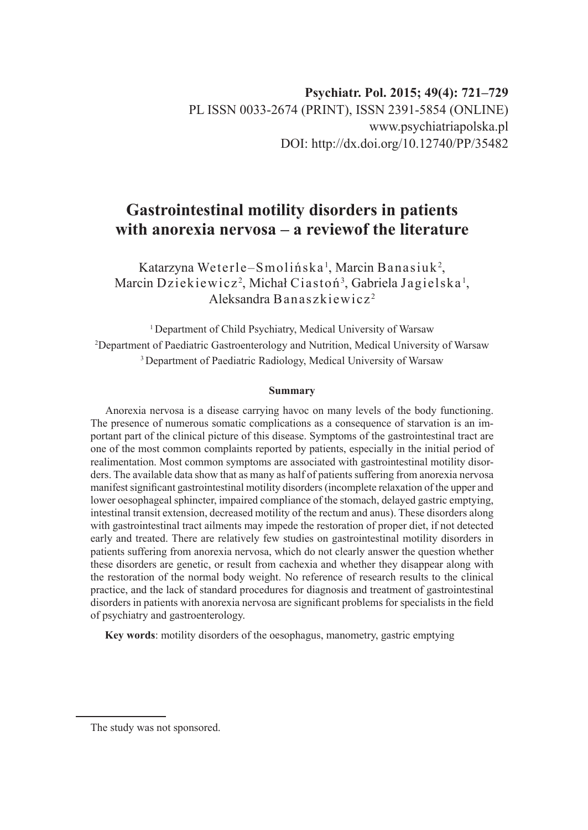# **Gastrointestinal motility disorders in patients with anorexia nervosa – a reviewof the literature**

Katarzyna Weterle–Smolińska', Marcin Banasiuk<sup>2</sup>, Marcin Dziekiewicz<sup>2</sup>, Michał Ciastoń<sup>3</sup>, Gabriela Jagielska<sup>1</sup>, Aleksandra Banaszkiewicz <sup>2</sup>

<sup>1</sup> Department of Child Psychiatry, Medical University of Warsaw 2 Department of Paediatric Gastroenterology and Nutrition, Medical University of Warsaw <sup>3</sup> Department of Paediatric Radiology, Medical University of Warsaw

#### **Summary**

Anorexia nervosa is a disease carrying havoc on many levels of the body functioning. The presence of numerous somatic complications as a consequence of starvation is an important part of the clinical picture of this disease. Symptoms of the gastrointestinal tract are one of the most common complaints reported by patients, especially in the initial period of realimentation. Most common symptoms are associated with gastrointestinal motility disorders. The available data show that as many as half of patients suffering from anorexia nervosa manifest significant gastrointestinal motility disorders (incomplete relaxation of the upper and lower oesophageal sphincter, impaired compliance of the stomach, delayed gastric emptying, intestinal transit extension, decreased motility of the rectum and anus). These disorders along with gastrointestinal tract ailments may impede the restoration of proper diet, if not detected early and treated. There are relatively few studies on gastrointestinal motility disorders in patients suffering from anorexia nervosa, which do not clearly answer the question whether these disorders are genetic, or result from cachexia and whether they disappear along with the restoration of the normal body weight. No reference of research results to the clinical practice, and the lack of standard procedures for diagnosis and treatment of gastrointestinal disorders in patients with anorexia nervosa are significant problems for specialists in the field of psychiatry and gastroenterology.

**Key words**: motility disorders of the oesophagus, manometry, gastric emptying

The study was not sponsored.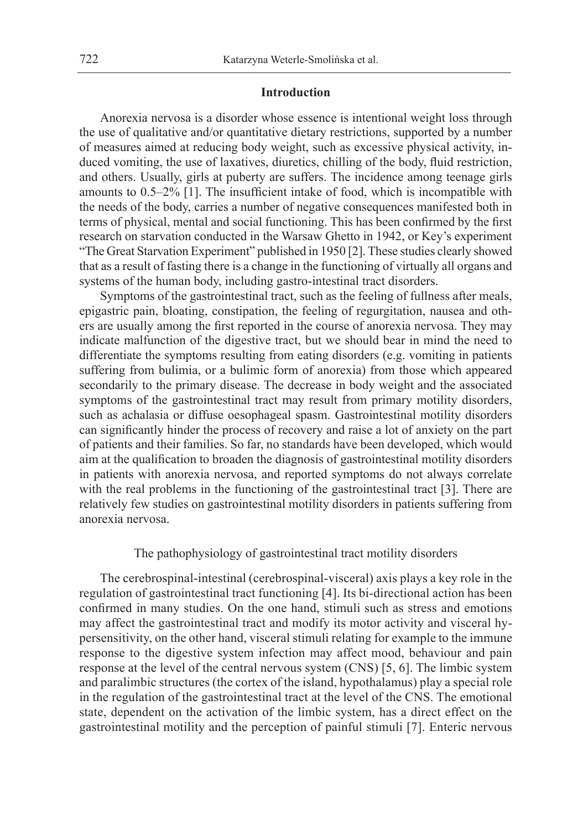#### **Introduction**

Anorexia nervosa is a disorder whose essence is intentional weight loss through the use of qualitative and/or quantitative dietary restrictions, supported by a number of measures aimed at reducing body weight, such as excessive physical activity, induced vomiting, the use of laxatives, diuretics, chilling of the body, fluid restriction, and others. Usually, girls at puberty are suffers. The incidence among teenage girls amounts to 0.5–2% [1]. The insufficient intake of food, which is incompatible with the needs of the body, carries a number of negative consequences manifested both in terms of physical, mental and social functioning. This has been confirmed by the first research on starvation conducted in the Warsaw Ghetto in 1942, or Key's experiment "The Great Starvation Experiment" published in 1950 [2]. These studies clearly showed that as a result of fasting there is a change in the functioning of virtually all organs and systems of the human body, including gastro-intestinal tract disorders.

Symptoms of the gastrointestinal tract, such as the feeling of fullness after meals, epigastric pain, bloating, constipation, the feeling of regurgitation, nausea and others are usually among the first reported in the course of anorexia nervosa. They may indicate malfunction of the digestive tract, but we should bear in mind the need to differentiate the symptoms resulting from eating disorders (e.g. vomiting in patients suffering from bulimia, or a bulimic form of anorexia) from those which appeared secondarily to the primary disease. The decrease in body weight and the associated symptoms of the gastrointestinal tract may result from primary motility disorders, such as achalasia or diffuse oesophageal spasm. Gastrointestinal motility disorders can significantly hinder the process of recovery and raise a lot of anxiety on the part of patients and their families. So far, no standards have been developed, which would aim at the qualification to broaden the diagnosis of gastrointestinal motility disorders in patients with anorexia nervosa, and reported symptoms do not always correlate with the real problems in the functioning of the gastrointestinal tract [3]. There are relatively few studies on gastrointestinal motility disorders in patients suffering from anorexia nervosa.

#### The pathophysiology of gastrointestinal tract motility disorders

The cerebrospinal-intestinal (cerebrospinal-visceral) axis plays a key role in the regulation of gastrointestinal tract functioning [4]. Its bi-directional action has been confirmed in many studies. On the one hand, stimuli such as stress and emotions may affect the gastrointestinal tract and modify its motor activity and visceral hypersensitivity, on the other hand, visceral stimuli relating for example to the immune response to the digestive system infection may affect mood, behaviour and pain response at the level of the central nervous system (CNS) [5, 6]. The limbic system and paralimbic structures (the cortex of the island, hypothalamus) play a special role in the regulation of the gastrointestinal tract at the level of the CNS. The emotional state, dependent on the activation of the limbic system, has a direct effect on the gastrointestinal motility and the perception of painful stimuli [7]. Enteric nervous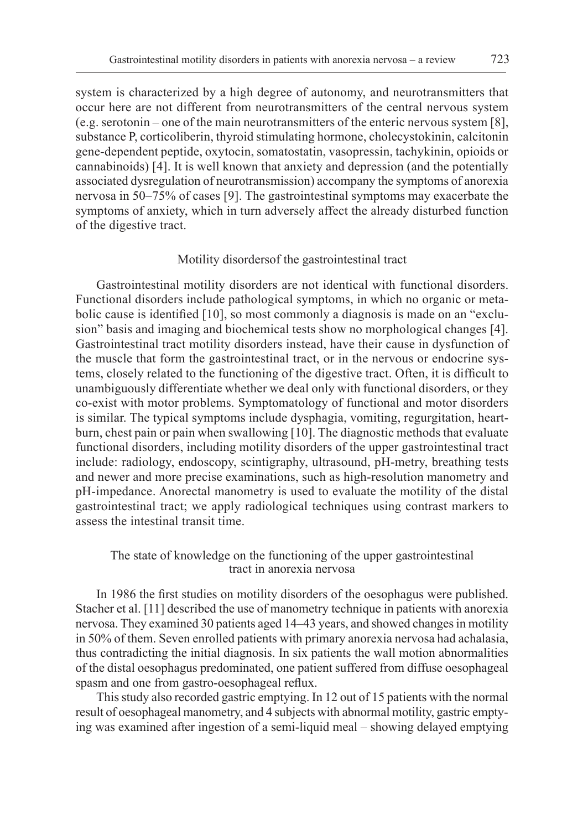system is characterized by a high degree of autonomy, and neurotransmitters that occur here are not different from neurotransmitters of the central nervous system (e.g. serotonin – one of the main neurotransmitters of the enteric nervous system [8], substance P, corticoliberin, thyroid stimulating hormone, cholecystokinin, calcitonin gene-dependent peptide, oxytocin, somatostatin, vasopressin, tachykinin, opioids or cannabinoids) [4]. It is well known that anxiety and depression (and the potentially associated dysregulation of neurotransmission) accompany the symptoms of anorexia nervosa in 50–75% of cases [9]. The gastrointestinal symptoms may exacerbate the symptoms of anxiety, which in turn adversely affect the already disturbed function of the digestive tract.

#### Motility disordersof the gastrointestinal tract

Gastrointestinal motility disorders are not identical with functional disorders. Functional disorders include pathological symptoms, in which no organic or metabolic cause is identified [10], so most commonly a diagnosis is made on an "exclusion" basis and imaging and biochemical tests show no morphological changes [4]. Gastrointestinal tract motility disorders instead, have their cause in dysfunction of the muscle that form the gastrointestinal tract, or in the nervous or endocrine systems, closely related to the functioning of the digestive tract. Often, it is difficult to unambiguously differentiate whether we deal only with functional disorders, or they co-exist with motor problems. Symptomatology of functional and motor disorders is similar. The typical symptoms include dysphagia, vomiting, regurgitation, heartburn, chest pain or pain when swallowing [10]. The diagnostic methods that evaluate functional disorders, including motility disorders of the upper gastrointestinal tract include: radiology, endoscopy, scintigraphy, ultrasound, pH-metry, breathing tests and newer and more precise examinations, such as high-resolution manometry and pH-impedance. Anorectal manometry is used to evaluate the motility of the distal gastrointestinal tract; we apply radiological techniques using contrast markers to assess the intestinal transit time.

## The state of knowledge on the functioning of the upper gastrointestinal tract in anorexia nervosa

In 1986 the first studies on motility disorders of the oesophagus were published. Stacher et al. [11] described the use of manometry technique in patients with anorexia nervosa. They examined 30 patients aged 14–43 years, and showed changes in motility in 50% of them. Seven enrolled patients with primary anorexia nervosa had achalasia, thus contradicting the initial diagnosis. In six patients the wall motion abnormalities of the distal oesophagus predominated, one patient suffered from diffuse oesophageal spasm and one from gastro-oesophageal reflux.

This study also recorded gastric emptying. In 12 out of 15 patients with the normal result of oesophageal manometry, and 4 subjects with abnormal motility, gastric emptying was examined after ingestion of a semi-liquid meal – showing delayed emptying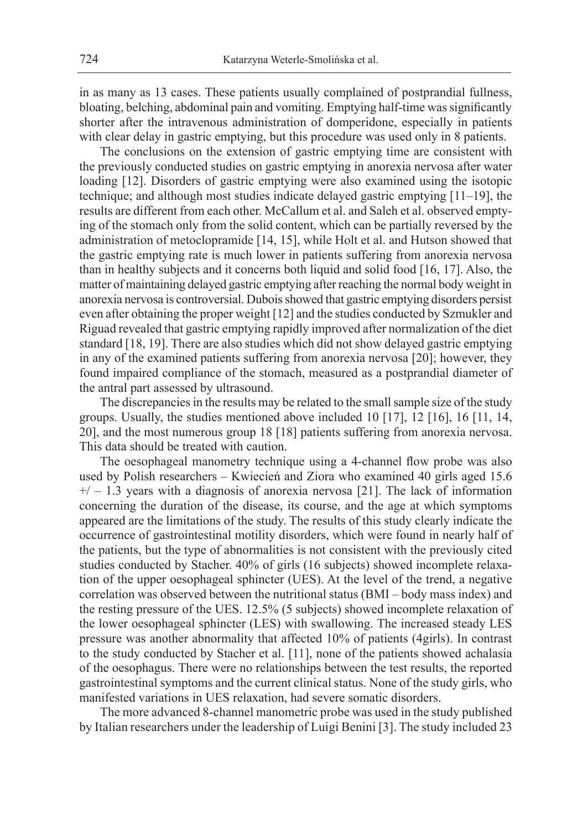in as many as 13 cases. These patients usually complained of postprandial fullness, bloating, belching, abdominal pain and vomiting. Emptying half-time was significantly shorter after the intravenous administration of domperidone, especially in patients with clear delay in gastric emptying, but this procedure was used only in 8 patients.

The conclusions on the extension of gastric emptying time are consistent with the previously conducted studies on gastric emptying in anorexia nervosa after water loading [12]. Disorders of gastric emptying were also examined using the isotopic technique; and although most studies indicate delayed gastric emptying [11–19], the results are different from each other. McCallum et al. and Saleh et al. observed emptying of the stomach only from the solid content, which can be partially reversed by the administration of metoclopramide [14, 15], while Holt et al. and Hutson showed that the gastric emptying rate is much lower in patients suffering from anorexia nervosa than in healthy subjects and it concerns both liquid and solid food [16, 17]. Also, the matter of maintaining delayed gastric emptying after reaching the normal body weight in anorexia nervosa is controversial. Dubois showed that gastric emptying disorders persist even after obtaining the proper weight [12] and the studies conducted by Szmukler and Riguad revealed that gastric emptying rapidly improved after normalization of the diet standard [18, 19]. There are also studies which did not show delayed gastric emptying in any of the examined patients suffering from anorexia nervosa [20]; however, they found impaired compliance of the stomach, measured as a postprandial diameter of the antral part assessed by ultrasound.

The discrepancies in the results may be related to the small sample size of the study groups. Usually, the studies mentioned above included 10 [17], 12 [16], 16 [11, 14, 20], and the most numerous group 18 [18] patients suffering from anorexia nervosa. This data should be treated with caution.

The oesophageal manometry technique using a 4-channel flow probe was also used by Polish researchers – Kwiecień and Ziora who examined 40 girls aged 15.6  $+/- 1.3$  years with a diagnosis of anorexia nervosa [21]. The lack of information concerning the duration of the disease, its course, and the age at which symptoms appeared are the limitations of the study. The results of this study clearly indicate the occurrence of gastrointestinal motility disorders, which were found in nearly half of the patients, but the type of abnormalities is not consistent with the previously cited studies conducted by Stacher. 40% of girls (16 subjects) showed incomplete relaxation of the upper oesophageal sphincter (UES). At the level of the trend, a negative correlation was observed between the nutritional status (BMI – body mass index) and the resting pressure of the UES. 12.5% (5 subjects) showed incomplete relaxation of the lower oesophageal sphincter (LES) with swallowing. The increased steady LES pressure was another abnormality that affected 10% of patients (4girls). In contrast to the study conducted by Stacher et al. [11], none of the patients showed achalasia of the oesophagus. There were no relationships between the test results, the reported gastrointestinal symptoms and the current clinical status. None of the study girls, who manifested variations in UES relaxation, had severe somatic disorders.

The more advanced 8-channel manometric probe was used in the study published by Italian researchers under the leadership of Luigi Benini [3]. The study included 23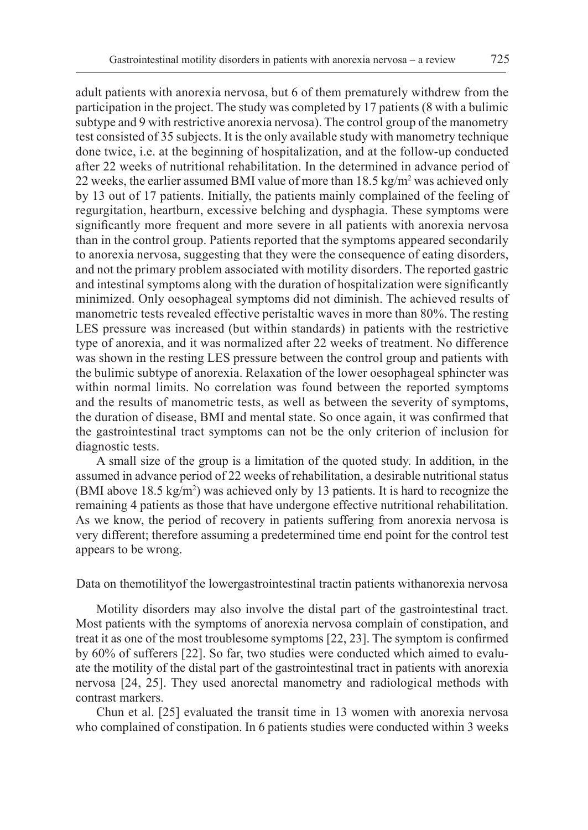adult patients with anorexia nervosa, but 6 of them prematurely withdrew from the participation in the project. The study was completed by 17 patients (8 with a bulimic subtype and 9 with restrictive anorexia nervosa). The control group of the manometry test consisted of 35 subjects. It is the only available study with manometry technique done twice, i.e. at the beginning of hospitalization, and at the follow-up conducted after 22 weeks of nutritional rehabilitation. In the determined in advance period of 22 weeks, the earlier assumed BMI value of more than  $18.5 \text{ kg/m}^2$  was achieved only by 13 out of 17 patients. Initially, the patients mainly complained of the feeling of regurgitation, heartburn, excessive belching and dysphagia. These symptoms were significantly more frequent and more severe in all patients with anorexia nervosa than in the control group. Patients reported that the symptoms appeared secondarily to anorexia nervosa, suggesting that they were the consequence of eating disorders, and not the primary problem associated with motility disorders. The reported gastric and intestinal symptoms along with the duration of hospitalization were significantly minimized. Only oesophageal symptoms did not diminish. The achieved results of manometric tests revealed effective peristaltic waves in more than 80%. The resting LES pressure was increased (but within standards) in patients with the restrictive type of anorexia, and it was normalized after 22 weeks of treatment. No difference was shown in the resting LES pressure between the control group and patients with the bulimic subtype of anorexia. Relaxation of the lower oesophageal sphincter was within normal limits. No correlation was found between the reported symptoms and the results of manometric tests, as well as between the severity of symptoms, the duration of disease, BMI and mental state. So once again, it was confirmed that the gastrointestinal tract symptoms can not be the only criterion of inclusion for diagnostic tests.

A small size of the group is a limitation of the quoted study. In addition, in the assumed in advance period of 22 weeks of rehabilitation, a desirable nutritional status (BMI above  $18.5 \text{ kg/m}^2$ ) was achieved only by 13 patients. It is hard to recognize the remaining 4 patients as those that have undergone effective nutritional rehabilitation. As we know, the period of recovery in patients suffering from anorexia nervosa is very different; therefore assuming a predetermined time end point for the control test appears to be wrong.

#### Data on themotilityof the lowergastrointestinal tractin patients withanorexia nervosa

Motility disorders may also involve the distal part of the gastrointestinal tract. Most patients with the symptoms of anorexia nervosa complain of constipation, and treat it as one of the most troublesome symptoms [22, 23]. The symptom is confirmed by 60% of sufferers [22]. So far, two studies were conducted which aimed to evaluate the motility of the distal part of the gastrointestinal tract in patients with anorexia nervosa [24, 25]. They used anorectal manometry and radiological methods with contrast markers.

Chun et al. [25] evaluated the transit time in 13 women with anorexia nervosa who complained of constipation. In 6 patients studies were conducted within 3 weeks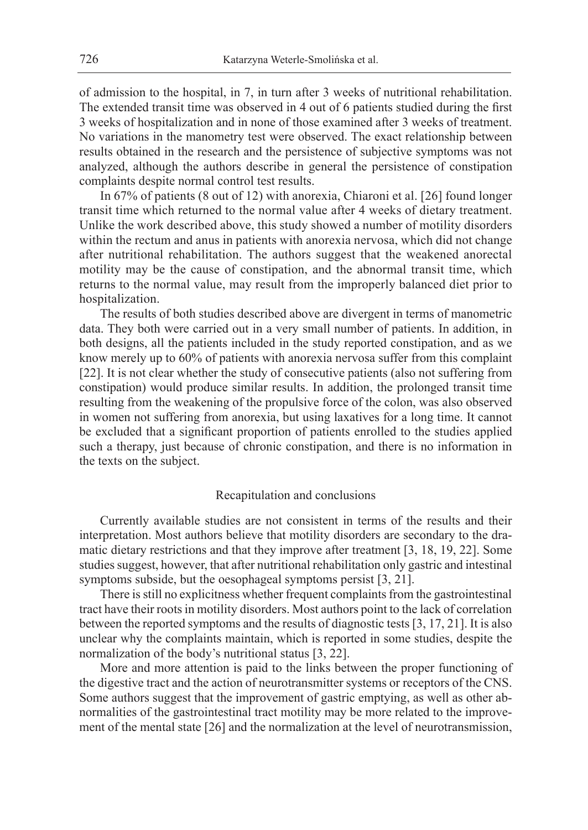of admission to the hospital, in 7, in turn after 3 weeks of nutritional rehabilitation. The extended transit time was observed in 4 out of 6 patients studied during the first 3 weeks of hospitalization and in none of those examined after 3 weeks of treatment. No variations in the manometry test were observed. The exact relationship between results obtained in the research and the persistence of subjective symptoms was not analyzed, although the authors describe in general the persistence of constipation complaints despite normal control test results.

In 67% of patients (8 out of 12) with anorexia, Chiaroni et al. [26] found longer transit time which returned to the normal value after 4 weeks of dietary treatment. Unlike the work described above, this study showed a number of motility disorders within the rectum and anus in patients with anorexia nervosa, which did not change after nutritional rehabilitation. The authors suggest that the weakened anorectal motility may be the cause of constipation, and the abnormal transit time, which returns to the normal value, may result from the improperly balanced diet prior to hospitalization.

The results of both studies described above are divergent in terms of manometric data. They both were carried out in a very small number of patients. In addition, in both designs, all the patients included in the study reported constipation, and as we know merely up to 60% of patients with anorexia nervosa suffer from this complaint [22]. It is not clear whether the study of consecutive patients (also not suffering from constipation) would produce similar results. In addition, the prolonged transit time resulting from the weakening of the propulsive force of the colon, was also observed in women not suffering from anorexia, but using laxatives for a long time. It cannot be excluded that a significant proportion of patients enrolled to the studies applied such a therapy, just because of chronic constipation, and there is no information in the texts on the subject.

#### Recapitulation and conclusions

Currently available studies are not consistent in terms of the results and their interpretation. Most authors believe that motility disorders are secondary to the dramatic dietary restrictions and that they improve after treatment [3, 18, 19, 22]. Some studies suggest, however, that after nutritional rehabilitation only gastric and intestinal symptoms subside, but the oesophageal symptoms persist [3, 21].

There is still no explicitness whether frequent complaints from the gastrointestinal tract have their roots in motility disorders. Most authors point to the lack of correlation between the reported symptoms and the results of diagnostic tests [3, 17, 21]. It is also unclear why the complaints maintain, which is reported in some studies, despite the normalization of the body's nutritional status [3, 22].

More and more attention is paid to the links between the proper functioning of the digestive tract and the action of neurotransmitter systems or receptors of the CNS. Some authors suggest that the improvement of gastric emptying, as well as other abnormalities of the gastrointestinal tract motility may be more related to the improvement of the mental state [26] and the normalization at the level of neurotransmission,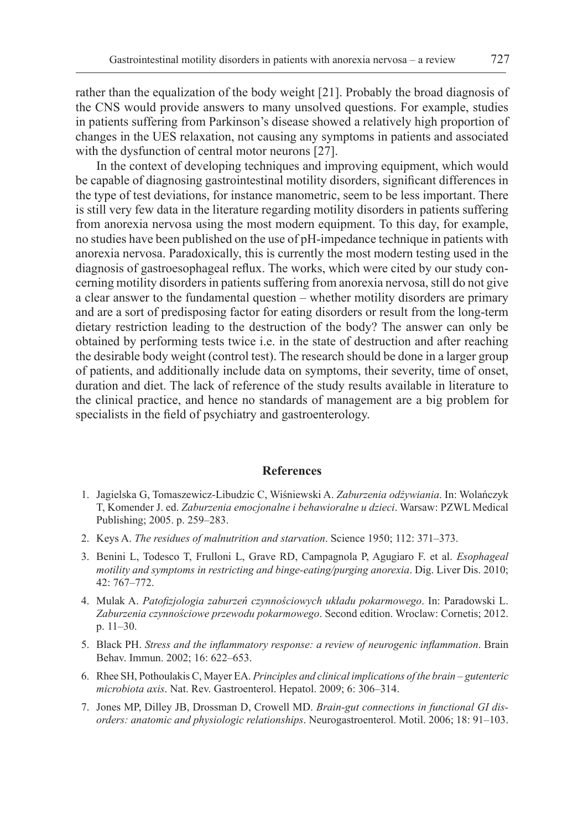rather than the equalization of the body weight [21]. Probably the broad diagnosis of the CNS would provide answers to many unsolved questions. For example, studies in patients suffering from Parkinson's disease showed a relatively high proportion of changes in the UES relaxation, not causing any symptoms in patients and associated with the dysfunction of central motor neurons [27].

In the context of developing techniques and improving equipment, which would be capable of diagnosing gastrointestinal motility disorders, significant differences in the type of test deviations, for instance manometric, seem to be less important. There is still very few data in the literature regarding motility disorders in patients suffering from anorexia nervosa using the most modern equipment. To this day, for example, no studies have been published on the use of pH-impedance technique in patients with anorexia nervosa. Paradoxically, this is currently the most modern testing used in the diagnosis of gastroesophageal reflux. The works, which were cited by our study concerning motility disorders in patients suffering from anorexia nervosa, still do not give a clear answer to the fundamental question – whether motility disorders are primary and are a sort of predisposing factor for eating disorders or result from the long-term dietary restriction leading to the destruction of the body? The answer can only be obtained by performing tests twice i.e. in the state of destruction and after reaching the desirable body weight (control test). The research should be done in a larger group of patients, and additionally include data on symptoms, their severity, time of onset, duration and diet. The lack of reference of the study results available in literature to the clinical practice, and hence no standards of management are a big problem for specialists in the field of psychiatry and gastroenterology.

### **References**

- 1. Jagielska G, Tomaszewicz-Libudzic C, Wiśniewski A. *Zaburzenia odżywiania*. In: Wolańczyk T, Komender J. ed. *Zaburzenia emocjonalne i behawioralne u dzieci*. Warsaw: PZWL Medical Publishing; 2005. p. 259–283.
- 2. Keys A. *The residues of malnutrition and starvation*. Science 1950; 112: 371–373.
- 3. Benini L, Todesco T, Frulloni L, Grave RD, Campagnola P, Agugiaro F. et al. *Esophageal motility and symptoms in restricting and binge-eating/purging anorexia*. Dig. Liver Dis. 2010; 42: 767–772.
- 4. Mulak A. *Patofizjologia zaburzeń czynnościowych układu pokarmowego*. In: Paradowski L. *Zaburzenia czynnościowe przewodu pokarmowego*. Second edition. Wroclaw: Cornetis; 2012. p. 11–30.
- 5. Black PH. *Stress and the inflammatory response: a review of neurogenic inflammation*. Brain Behav. Immun. 2002; 16: 622–653.
- 6. Rhee SH, Pothoulakis C, Mayer EA. *Principles and clinical implications of the brain gutenteric microbiota axis*. Nat. Rev. Gastroenterol. Hepatol. 2009; 6: 306–314.
- 7. Jones MP, Dilley JB, Drossman D, Crowell MD. *Brain-gut connections in functional GI disorders: anatomic and physiologic relationships*. Neurogastroenterol. Motil. 2006; 18: 91–103.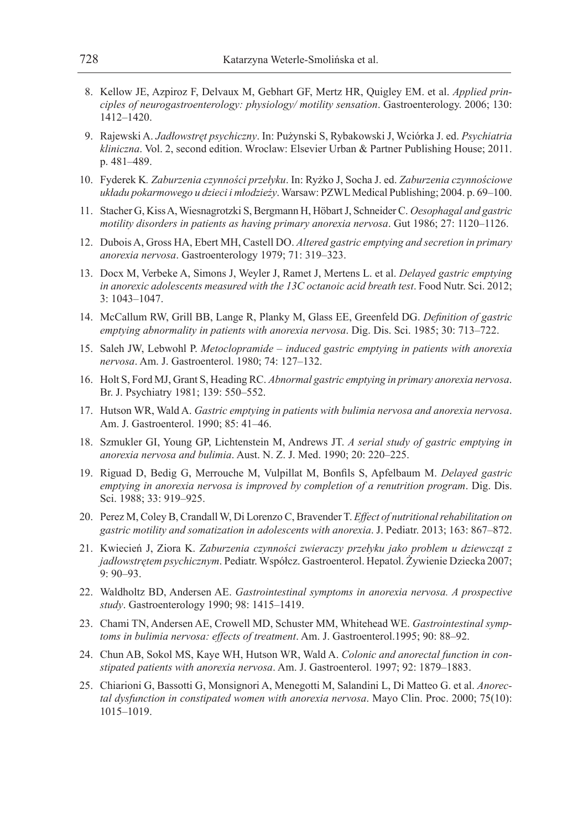- 8. Kellow JE, Azpiroz F, Delvaux M, Gebhart GF, Mertz HR, Quigley EM. et al. *Applied principles of neurogastroenterology: physiology/ motility sensation*. Gastroenterology. 2006; 130: 1412–1420.
- 9. Rajewski A. *Jadłowstręt psychiczny*. In: Pużynski S, Rybakowski J, Wciórka J. ed. *Psychiatria kliniczna*. Vol. 2, second edition. Wroclaw: Elsevier Urban & Partner Publishing House; 2011. p. 481–489.
- 10. Fyderek K*. Zaburzenia czynności przełyku*. In: Ryżko J, Socha J. ed. *Zaburzenia czynnościowe układu pokarmowego u dzieci i młodzieży*. Warsaw: PZWL Medical Publishing; 2004. p. 69–100.
- 11. Stacher G, Kiss A, Wiesnagrotzki S, Bergmann H, Höbart J, Schneider C. *Oesophagal and gastric motility disorders in patients as having primary anorexia nervosa*. Gut 1986; 27: 1120–1126.
- 12. Dubois A, Gross HA, Ebert MH, Castell DO. *Altered gastric emptying and secretion in primary anorexia nervosa*. Gastroenterology 1979; 71: 319–323.
- 13. Docx M, Verbeke A, Simons J, Weyler J, Ramet J, Mertens L. et al. *Delayed gastric emptying*  in anorexic adolescents measured with the 13C octanoic acid breath test. Food Nutr. Sci. 2012; 3: 1043–1047.
- 14. McCallum RW, Grill BB, Lange R, Planky M, Glass EE, Greenfeld DG. *Definition of gastric emptying abnormality in patients with anorexia nervosa*. Dig. Dis. Sci. 1985; 30: 713–722.
- 15. Saleh JW, Lebwohl P. *Metoclopramide induced gastric emptying in patients with anorexia nervosa*. Am. J. Gastroenterol. 1980; 74: 127–132.
- 16. Holt S, Ford MJ, Grant S, Heading RC. *Abnormal gastric emptying in primary anorexia nervosa*. Br. J. Psychiatry 1981; 139: 550–552.
- 17. Hutson WR, Wald A. *Gastric emptying in patients with bulimia nervosa and anorexia nervosa*. Am. J. Gastroenterol. 1990; 85: 41–46.
- 18. Szmukler GI, Young GP, Lichtenstein M, Andrews JT. *A serial study of gastric emptying in anorexia nervosa and bulimia*. Aust. N. Z. J. Med. 1990; 20: 220–225.
- 19. Riguad D, Bedig G, Merrouche M, Vulpillat M, Bonfils S, Apfelbaum M. *Delayed gastric emptying in anorexia nervosa is improved by completion of a renutrition program*. Dig. Dis. Sci. 1988; 33: 919–925.
- 20. Perez M, Coley B, Crandall W, Di Lorenzo C, Bravender T. *Effect of nutritional rehabilitation on gastric motility and somatization in adolescents with anorexia*. J. Pediatr. 2013; 163: 867–872.
- 21. Kwiecień J, Ziora K. *Zaburzenia czynności zwieraczy przełyku jako problem u dziewcząt z jadłowstrętem psychicznym*. Pediatr. Współcz. Gastroenterol. Hepatol. Żywienie Dziecka 2007; 9: 90–93.
- 22. Waldholtz BD, Andersen AE. *Gastrointestinal symptoms in anorexia nervosa. A prospective study*. Gastroenterology 1990; 98: 1415–1419.
- 23. Chami TN, Andersen AE, Crowell MD, Schuster MM, Whitehead WE. *Gastrointestinal symptoms in bulimia nervosa: effects of treatment*. Am. J. Gastroenterol.1995; 90: 88–92.
- 24. Chun AB, Sokol MS, Kaye WH, Hutson WR, Wald A. *Colonic and anorectal function in constipated patients with anorexia nervosa*. Am. J. Gastroenterol. 1997; 92: 1879–1883.
- 25. Chiarioni G, Bassotti G, Monsignori A, Menegotti M, Salandini L, Di Matteo G. et al. *Anorectal dysfunction in constipated women with anorexia nervosa*. Mayo Clin. Proc. 2000; 75(10): 1015–1019.